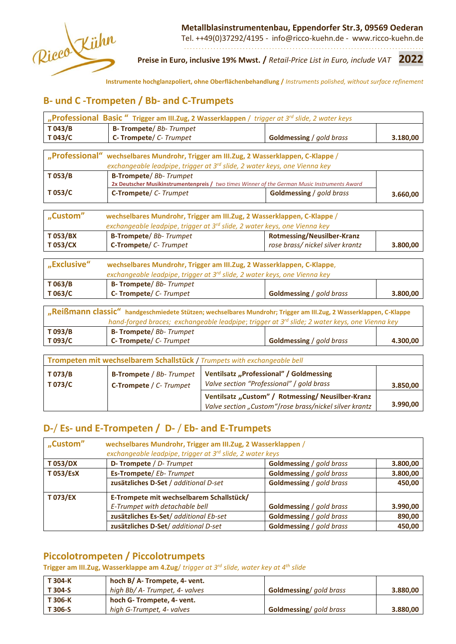

 **Metallblasinstrumentenbau, Eppendorfer Str.3, 09569 Oederan**

Tel. ++49(0)37292/4195 - info@ricco-kuehn.de - www.ricco-kuehn.de . . . . . . . . . . . . . . . . . . . . . . . . . . . . . . . . . . . . . . . . . . . . . . . . . . . . . . . . . . . . . . . . . . . . . . . . . . . . . . . . . .

**Preise in Euro, inclusive 19% Mwst. /** *Retail-Price List in Euro, include VAT* **2022**

**Instrumente hochglanzpoliert, ohne Oberflächenbehandlung /** *Instruments polished, without surface refinement*

# **B- und C -Trompeten / Bb- and C-Trumpets**

|                                                                                                                                                                                | "Professional Basic "Trigger am III. Zug, 2 Wasserklappen / trigger at 3 <sup>rd</sup> slide, 2 water keys                                                       |                                                                                              |          |  |  |
|--------------------------------------------------------------------------------------------------------------------------------------------------------------------------------|------------------------------------------------------------------------------------------------------------------------------------------------------------------|----------------------------------------------------------------------------------------------|----------|--|--|
| T043/B                                                                                                                                                                         | <b>B- Trompete/ Bb- Trumpet</b>                                                                                                                                  |                                                                                              |          |  |  |
| T043/C                                                                                                                                                                         | C-Trompete/ C-Trumpet                                                                                                                                            | <b>Goldmessing</b> / gold brass                                                              | 3.180,00 |  |  |
| "Professional"                                                                                                                                                                 | wechselbares Mundrohr, Trigger am III. Zug, 2 Wasserklappen, C-Klappe /<br>exchangeable leadpipe, trigger at 3 <sup>rd</sup> slide, 2 water keys, one Vienna key |                                                                                              |          |  |  |
| T053/B                                                                                                                                                                         | <b>B-Trompete/ Bb- Trumpet</b>                                                                                                                                   | 2x Deutscher Musikinstrumentenpreis / two times Winner of the German Music Instruments Award |          |  |  |
| T053/C                                                                                                                                                                         | <b>C-Trompete/</b> C-Trumpet<br><b>Goldmessing</b> / gold brass                                                                                                  |                                                                                              | 3.660,00 |  |  |
| "Custom"                                                                                                                                                                       | wechselbares Mundrohr, Trigger am III. Zug, 2 Wasserklappen, C-Klappe /<br>exchangeable leadpipe, trigger at 3 <sup>rd</sup> slide, 2 water keys, one Vienna key |                                                                                              |          |  |  |
| T053/BX                                                                                                                                                                        | <b>B-Trompete/ Bb- Trumpet</b>                                                                                                                                   | <b>Rotmessing/Neusilber-Kranz</b>                                                            |          |  |  |
| T 053/CX                                                                                                                                                                       | C-Trompete/ C- Trumpet                                                                                                                                           | rose brass/ nickel silver krantz                                                             | 3.800,00 |  |  |
| "Exclusive"<br>wechselbares Mundrohr, Trigger am III. Zug, 2 Wasserklappen, C-Klappe,<br>exchangeable leadpipe, trigger at 3 <sup>rd</sup> slide, 2 water keys, one Vienna key |                                                                                                                                                                  |                                                                                              |          |  |  |
| T 063/B                                                                                                                                                                        | <b>B- Trompete/ Bb- Trumpet</b>                                                                                                                                  |                                                                                              |          |  |  |
| T063/C                                                                                                                                                                         | <b>C- Trompete/ C- Trumpet</b>                                                                                                                                   | <b>Goldmessing</b> / gold brass                                                              | 3.800,00 |  |  |
| $ -$<br>$\cdots$ $\cdots$                                                                                                                                                      |                                                                                                                                                                  |                                                                                              |          |  |  |

| "Reißmann classic" handgeschmiedete Stützen; wechselbares Mundrohr; Trigger am III.Zug, 2 Wasserklappen, C-Klappe |  |          |  |  |
|-------------------------------------------------------------------------------------------------------------------|--|----------|--|--|
| hand-forged braces; exchangeable leadpipe; trigger at 3 <sup>rd</sup> slide; 2 water keys, one Vienna key         |  |          |  |  |
| T 093/B<br>B- Trompete/ Bb- Trumpet                                                                               |  |          |  |  |
| T 093/C<br>C-Trompete/C-Trumpet<br><b>Goldmessing</b> / gold brass                                                |  | 4.300.00 |  |  |

| Trompeten mit wechselbarem Schallstück / Trumpets with exchangeable bell |                                                                                                                                                                      |                                                                                                             |          |  |
|--------------------------------------------------------------------------|----------------------------------------------------------------------------------------------------------------------------------------------------------------------|-------------------------------------------------------------------------------------------------------------|----------|--|
| T 073/B<br>T 073/C                                                       | Ventilsatz "Professional" / Goldmessing<br><b>B-Trompete</b> / Bb-Trumpet<br>Valve section "Professional" / gold brass<br><b>C-Trompete</b> / C- Trumpet<br>3.850,00 |                                                                                                             |          |  |
|                                                                          |                                                                                                                                                                      | Ventilsatz "Custom" / Rotmessing/ Neusilber-Kranz<br>Valve section "Custom"/rose brass/nickel silver krantz | 3.990,00 |  |

# **D-**/ **Es- und E-Trompeten / D-** / **Eb- and E-Trumpets**

| "Custom"<br>wechselbares Mundrohr, Trigger am III. Zug, 2 Wasserklappen /<br>exchangeable leadpipe, trigger at 3 <sup>rd</sup> slide, 2 water keys |                                          |                                 |          |
|----------------------------------------------------------------------------------------------------------------------------------------------------|------------------------------------------|---------------------------------|----------|
| <b>T053/DX</b>                                                                                                                                     | <b>D- Trompete</b> / D- Trumpet          | <b>Goldmessing</b> / gold brass | 3.800,00 |
| T 053/EsX                                                                                                                                          | Es-Trompete/Eb-Trumpet                   | <b>Goldmessing</b> / gold brass | 3.800,00 |
|                                                                                                                                                    | zusätzliches D-Set / additional D-set    | <b>Goldmessing</b> / gold brass | 450,00   |
| <b>T 073/EX</b>                                                                                                                                    | E-Trompete mit wechselbarem Schallstück/ |                                 |          |
|                                                                                                                                                    | E-Trumpet with detachable bell           | <b>Goldmessing</b> / gold brass | 3.990,00 |
|                                                                                                                                                    | zusätzliches Es-Set/ additional Eb-set   | <b>Goldmessing</b> / gold brass | 890,00   |
|                                                                                                                                                    | zusätzliches D-Set/ additional D-set     | <b>Goldmessing</b> / gold brass | 450,00   |

# **Piccolotrompeten / Piccolotrumpets**

### **Trigger am III.Zug, Wasserklappe am 4.Zug**/ *trigger at 3rd slide, water key at 4th slide*

| T 304-K | hoch B/A-Trompete, 4- vent.    |                                 |          |
|---------|--------------------------------|---------------------------------|----------|
| T 304-S | high Bb/ A- Trumpet, 4- valves | <b>Goldmessing</b> / gold brass | 3.880,00 |
| T 306-K | hoch G- Trompete, 4- vent.     |                                 |          |
| T 306-S | high G-Trumpet, 4- valves      | <b>Goldmessing</b> aold brass   | 3.880,00 |